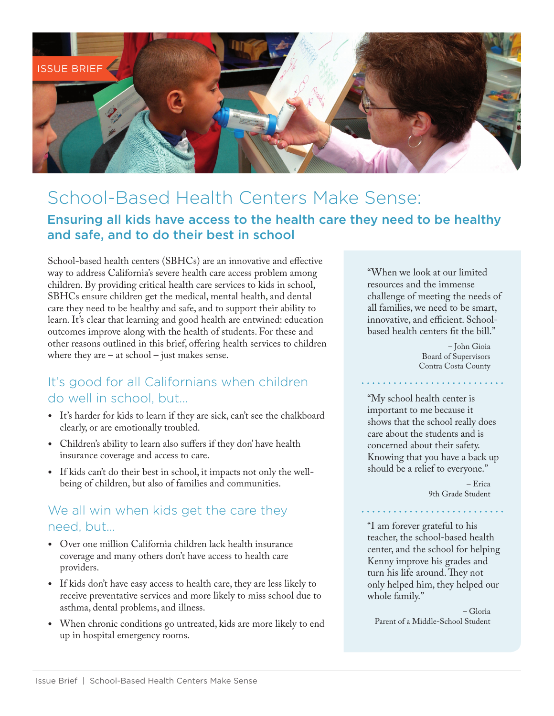

# School-Based Health Centers Make Sense:

### Ensuring all kids have access to the health care they need to be healthy and safe, and to do their best in school

School-based health centers (SBHCs) are an innovative and effective way to address California's severe health care access problem among children. By providing critical health care services to kids in school, SBHCs ensure children get the medical, mental health, and dental care they need to be healthy and safe, and to support their ability to learn. It's clear that learning and good health are entwined: education outcomes improve along with the health of students. For these and other reasons outlined in this brief, offering health services to children where they are  $-$  at school  $-$  just makes sense.

### It's good for all Californians when children do well in school, but...

- • It's harder for kids to learn if they are sick, can't see the chalkboard clearly, or are emotionally troubled.
- Children's ability to learn also suffers if they don' have health insurance coverage and access to care.
- If kids can't do their best in school, it impacts not only the wellbeing of children, but also of families and communities.

### We all win when kids get the care they need, but...

- Over one million California children lack health insurance coverage and many others don't have access to health care providers.
- If kids don't have easy access to health care, they are less likely to receive preventative services and more likely to miss school due to asthma, dental problems, and illness.
- When chronic conditions go untreated, kids are more likely to end up in hospital emergency rooms.

"When we look at our limited resources and the immense challenge of meeting the needs of all families, we need to be smart, innovative, and efficient. Schoolbased health centers fit the bill."

> – John Gioia Board of Supervisors Contra Costa County

"My school health center is important to me because it shows that the school really does care about the students and is concerned about their safety. Knowing that you have a back up should be a relief to everyone."

> – Erica 9th Grade Student

"I am forever grateful to his teacher, the school-based health center, and the school for helping Kenny improve his grades and turn his life around. They not only helped him, they helped our whole family."

– Gloria Parent of a Middle-School Student